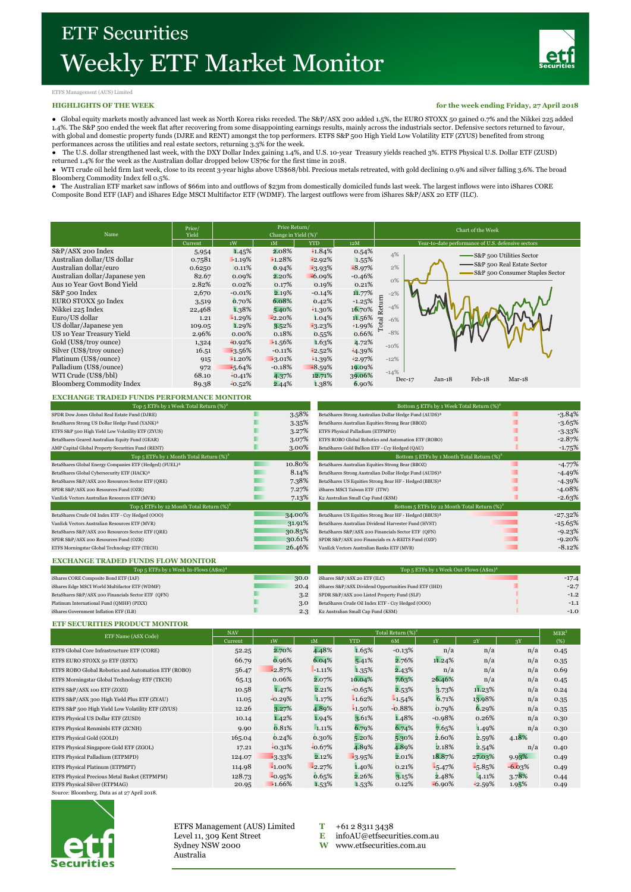

#### ETFS Management (AUS) Limited

#### **HIGHLIGHTS OF THE WEEK**

**for the week ending Friday, 27 April 2018**

● Global equity markets mostly advanced last week as North Korea risks receded. The S&P/ASX 200 added 1.5%, the EURO STOXX 50 gained 0.7% and the Nikkei 225 added 1.4%. The S&P 500 ended the week flat after recovering from some disappointing earnings results, mainly across the industrials sector. Defensive sectors returned to favour, with global and domestic property funds (DJRE and RENT) amongst the top performers. ETFS S&P 500 High Yield Low Volatility ETF (ZYUS) benefited from strong

performances across the utilities and real estate sectors, returning 3.3% for the week.<br>● The U.S. dollar strengthened last week, with the DXY Dollar Index gaining 1.4%, and U.S. 10-year Treasury yields reached 3%. ETFS returned 1.4% for the week as the Australian dollar dropped below US76c for the first time in 2018.

● WTI crude oil held firm last week, close to its recent 3-year highs above US\$68/bbl. Precious metals retreated, with gold declining 0.9% and silver falling 3.6%. The broad Bloomberg Commodity Index fell 0.5%.

● The Australian ETF market saw inflows of \$66m into and outflows of \$23m from domestically domiciled funds last week. The largest inflows were into iShares CORE Composite Bond ETF (IAF) and iShares Edge MSCI Multifactor ETF (WDMF). The largest outflows were from iShares S&P/ASX 20 ETF (ILC).

| Name                                                                                                                                                                                                                                                                                                                                                                                      | Price/<br>Yield                                                                                                                    | Price Return/<br>Change in Yield $(\%)^1$                                                                                                                |                                                                                                                                                          |                                                                                                                                                                     |                                                                                                                                                         | Chart of the Week                                                                                                                                                                           |  |  |  |  |
|-------------------------------------------------------------------------------------------------------------------------------------------------------------------------------------------------------------------------------------------------------------------------------------------------------------------------------------------------------------------------------------------|------------------------------------------------------------------------------------------------------------------------------------|----------------------------------------------------------------------------------------------------------------------------------------------------------|----------------------------------------------------------------------------------------------------------------------------------------------------------|---------------------------------------------------------------------------------------------------------------------------------------------------------------------|---------------------------------------------------------------------------------------------------------------------------------------------------------|---------------------------------------------------------------------------------------------------------------------------------------------------------------------------------------------|--|--|--|--|
|                                                                                                                                                                                                                                                                                                                                                                                           | Current                                                                                                                            | 1W                                                                                                                                                       | 1M                                                                                                                                                       | <b>YTD</b>                                                                                                                                                          | 12M                                                                                                                                                     | Year-to-date performance of U.S. defensive sectors                                                                                                                                          |  |  |  |  |
| S&P/ASX 200 Index<br>Australian dollar/US dollar<br>Australian dollar/euro<br>Australian dollar/Japanese ven<br>Aus 10 Year Govt Bond Yield<br>S&P 500 Index<br>EURO STOXX 50 Index<br>Nikkei 225 Index<br>Euro/US dollar<br>US dollar/Japanese ven<br>US 10 Year Treasury Yield<br>Gold (US\$/troy ounce)<br>Silver (US\$/troy ounce)<br>Platinum (US\$/ounce)<br>Palladium (US\$/ounce) | 5,954<br>0.7581<br>0.6250<br>82.67<br>2.82%<br>2,670<br>3,519<br>22,468<br>1.21<br>109.05<br>2.96%<br>1,324<br>16.51<br>915<br>972 | 1.45%<br>$-1.19%$<br>0.11%<br>0.09%<br>0.02%<br>$-0.01%$<br>0.70%<br>1.38%<br>$-1.29%$<br>1.29%<br>0.00%<br>$-0.92%$<br>$-3.56%$<br>$-1.20%$<br>$-5.64%$ | 2.08%<br>$-1.28%$<br>0.94%<br>$2.20\%$<br>0.17%<br>2.19%<br>6.08%<br>5.40%<br>$-2.20%$<br>3.52%<br>0.18%<br>$-1.56%$<br>$+0.11%$<br>$-3.01%$<br>$-0.18%$ | $-1.84%$<br>$-2.92%$<br>$-3.93\%$<br>$-6.09%$<br>0.19%<br>$-0.14%$<br>0.42%<br>$-1.30\%$<br>1.04%<br>$-3.23%$<br>0.55%<br>1.63%<br>$-2.52%$<br>$-1.39%$<br>$-8.59%$ | 0.54%<br>1.55%<br>$-8.97%$<br>$-0.46%$<br>0.21%<br>11.77%<br>$+1.25%$<br>16.70%<br>11.56%<br>$+1.99%$<br>0.66%<br>4.72%<br>$-4.39%$<br>42.97%<br>19.09% | 4%<br>-S&P 500 Utilities Sector<br>-S&P 500 Real Estate Sector<br>2%<br>S&P 500 Consumer Staples Sector<br>$0\%$<br>$-2%$<br>Return<br>$-4%$<br>Total<br>$-6%$<br>$-8%$<br>$-10%$<br>$-12%$ |  |  |  |  |
| WTI Crude (US\$/bbl)<br><b>Bloomberg Commodity Index</b>                                                                                                                                                                                                                                                                                                                                  | 68.10<br>89.38                                                                                                                     | $-0.41%$<br>$-0.52%$                                                                                                                                     | 4.37%<br>2.44%                                                                                                                                           | 12.71%<br>1.38%                                                                                                                                                     | 39.06%<br>6.90%                                                                                                                                         | $-14%$<br>$Feb-18$<br>$Jan-18$<br>$Mar-18$<br>$Dec-17$                                                                                                                                      |  |  |  |  |

## **EXCHANGE TRADED FUNDS PERFORMANCE MONITOR**

| Top 5 ETFs by 1 Week Total Return $(\%)^2$                          |        |  |  |  |  |
|---------------------------------------------------------------------|--------|--|--|--|--|
| SPDR Dow Jones Global Real Estate Fund (DJRE)                       | 3.58%  |  |  |  |  |
| BetaShares Strong US Dollar Hedge Fund (YANK) <sup>3</sup>          | 3.35%  |  |  |  |  |
| ETFS S&P 500 High Yield Low Volatility ETF (ZYUS)                   | 3.27%  |  |  |  |  |
| BetaShares Geared Australian Equity Fund (GEAR)                     | 3.07%  |  |  |  |  |
| AMP Capital Global Property Securities Fund (RENT)                  | 3.00%  |  |  |  |  |
| Top 5 ETFs by 1 Month Total Return $(\%)^2$                         |        |  |  |  |  |
| BetaShares Global Energy Companies ETF (Hedged) (FUEL) <sup>3</sup> | 10.80% |  |  |  |  |
| BetaShares Global Cybersecurity ETF (HACK) <sup>3</sup>             | 8.14%  |  |  |  |  |
| BetaShares S&P/ASX 200 Resources Sector ETF (QRE)                   | 7.38%  |  |  |  |  |
| SPDR S&P/ASX 200 Resources Fund (OZR)                               | 7.27%  |  |  |  |  |
| VanEck Vectors Australian Resources ETF (MVR)                       | 7.13%  |  |  |  |  |
| Top 5 ETFs by 12 Month Total Return $(\%)^2$                        |        |  |  |  |  |
| BetaShares Crude Oil Index ETF - Ccy Hedged (OOO)                   | 34.00% |  |  |  |  |
| VanEck Vectors Australian Resources ETF (MVR)                       | 31.91% |  |  |  |  |
| BetaShares S&P/ASX 200 Resources Sector ETF (QRE)                   | 30.85% |  |  |  |  |
| SPDR S&P/ASX 200 Resources Fund (OZR)                               | 30.61% |  |  |  |  |
| ETFS Morningstar Global Technology ETF (TECH)                       | 26.46% |  |  |  |  |
|                                                                     |        |  |  |  |  |

| Top 5 ETFs by 1 Week Total Return $(\%)^2$                 |        | Bottom 5 ETFs by 1 Week Total Return $(\%)^2$                      |            |  |  |
|------------------------------------------------------------|--------|--------------------------------------------------------------------|------------|--|--|
| SPDR Dow Jones Global Real Estate Fund (DJRE)              | 3.58%  | BetaShares Strong Australian Dollar Hedge Fund (AUDS) <sup>3</sup> | $-3.84\%$  |  |  |
| BetaShares Strong US Dollar Hedge Fund (YANK) <sup>3</sup> | 3.35%  | BetaShares Australian Equities Strong Bear (BBOZ)                  | $-3.65%$   |  |  |
| ETFS S&P 500 High Yield Low Volatility ETF (ZYUS)          | 3.27%  | ETFS Physical Palladium (ETPMPD)                                   | $-3.33%$   |  |  |
| BetaShares Geared Australian Equity Fund (GEAR)            | 3.07%  | ETFS ROBO Global Robotics and Automation ETF (ROBO)                | $-2.87%$   |  |  |
| AMP Capital Global Property Securities Fund (RENT)         | 3.00%  | BetaShares Gold Bullion ETF - Ccy Hedged (QAU)                     | $-1.75\%$  |  |  |
| Top 5 ETFs by 1 Month Total Return $(\%)^2$                |        | Bottom 5 ETFs by 1 Month Total Return $(\%)^2$                     |            |  |  |
| BetaShares Global Energy Companies ETF (Hedged) (FUEL)3    | 10.80% | BetaShares Australian Equities Strong Bear (BBOZ)                  | $-4.77\%$  |  |  |
| BetaShares Global Cybersecurity ETF (HACK)3                | 8.14%  | BetaShares Strong Australian Dollar Hedge Fund (AUDS) <sup>3</sup> | $-4.49%$   |  |  |
| BetaShares S&P/ASX 200 Resources Sector ETF (QRE)          | 7.38%  | BetaShares US Equities Strong Bear HF - Hedged (BBUS) <sup>3</sup> | $-4.39%$   |  |  |
| SPDR S&P/ASX 200 Resources Fund (OZR)                      | 7.27%  | iShares MSCI Taiwan ETF (ITW)                                      | $-4.08\%$  |  |  |
| VanEck Vectors Australian Resources ETF (MVR)              | 7.13%  | K2 Australian Small Cap Fund (KSM)                                 | $-2.63\%$  |  |  |
| Top 5 ETFs by 12 Month Total Return $(\%)^2$               |        | Bottom 5 ETFs by 12 Month Total Return $(\%)^2$                    |            |  |  |
| BetaShares Crude Oil Index ETF - Ccy Hedged (OOO)          | 34.00% | BetaShares US Equities Strong Bear HF - Hedged (BBUS) <sup>3</sup> | $-27.32\%$ |  |  |
| VanEck Vectors Australian Resources ETF (MVR)              | 31.91% | BetaShares Australian Dividend Harvester Fund (HVST)               | $-15.65\%$ |  |  |
| BetaShares S&P/ASX 200 Resources Sector ETF (QRE)          | 30.85% | BetaShares S&P/ASX 200 Financials Sector ETF (QFN)                 | $-9.23%$   |  |  |
| SPDR S&P/ASX 200 Resources Fund (OZR)                      | 30.61% | SPDR S&P/ASX 200 Financials ex A-REITS Fund (OZF)                  | $-9.20\%$  |  |  |
| ETFS Morningstar Global Technology ETF (TECH)              | 26.46% | VanEck Vectors Australian Banks ETF (MVB)                          | $-8.12\%$  |  |  |
|                                                            |        |                                                                    |            |  |  |

Top 5 ETFs by 1 Week Out-Flo

#### **EXCHANGE TRADED FUNDS FLOW MONITOR** iShares S&P/ASX 20 ETF (ILC) Top 5 ETFs by 1 Week In-Flows (A\$n) iShares CORE Composite Bond ETF (IAF) 30.0 -17.4

| IShares CORE Composite Bond ETF (IAF)              | 30.U | ISBATES S&P/ASA 20 EIF (ILC)                          | $-1/2$ |
|----------------------------------------------------|------|-------------------------------------------------------|--------|
| iShares Edge MSCI World Multifactor ETF (WDMF)     | 20.4 | iShares S&P/ASX Dividend Opportunities Fund ETF (IHD) | $-2.7$ |
| BetaShares S&P/ASX 200 Financials Sector ETF (OFN) | 3.2  | SPDR S&P/ASX 200 Listed Property Fund (SLF)           | $-1.2$ |
| Platinum International Fund (OMHF) (PIXX)          | 3.0  | BetaShares Crude Oil Index ETF - Ccy Hedged (OOO)     | $-1.1$ |
| iShares Government Inflation ETF (ILB)             | 2.3  | K2 Australian Small Cap Fund (KSM)                    | $-1.0$ |

# **ETF SECURITIES PRODUCT MONITOR**

| ETF Name (ASX Code)                                 | <b>NAV</b> | Total Return $(\%)^2$ |          |            |          |           |          |          |      |
|-----------------------------------------------------|------------|-----------------------|----------|------------|----------|-----------|----------|----------|------|
|                                                     | Current    | 1W                    | 1M       | <b>YTD</b> | 6M       | 1Y        | 2Y       | $-3Y$    | (%)  |
| ETFS Global Core Infrastructure ETF (CORE)          | 52.25      | 2.70%                 | 4.48%    | 1.65%      | $-0.13%$ | n/a       | n/a      | n/a      | 0.45 |
| ETFS EURO STOXX 50 ETF (ESTX)                       | 66.79      | 0.96%                 | 6.04%    | 5.41%      | 2.76%    | 11.24%    | n/a      | n/a      | 0.35 |
| ETFS ROBO Global Robotics and Automation ETF (ROBO) | 56.47      | $-2.87%$              | $-1.11%$ | 1.35%      | 2.43%    | n/a       | n/a      | n/a      | 0.69 |
| ETFS Morningstar Global Technology ETF (TECH)       | 65.13      | 0.06%                 | 2.07%    | 10.04%     | 7.63%    | 26.46%    | n/a      | n/a      | 0.45 |
| ETFS S&P/ASX 100 ETF (ZOZI)                         | 10.58      | 1.47%                 | 2.21%    | $-0.65%$   | 2.53%    | 3.73%     | 11.23%   | n/a      | 0.24 |
| ETFS S&P/ASX 300 High Yield Plus ETF (ZYAU)         | 11.05      | $-0.29%$              | 1.17%    | $-1.62%$   | $-1.54%$ | 6.71%     | 13.98%   | n/a      | 0.35 |
| ETFS S&P 500 High Yield Low Volatility ETF (ZYUS)   | 12.26      | 3.27%                 | 4.89%    | $-1.50%$   | $-0.88%$ | 0.79%     | 6.29%    | n/a      | 0.35 |
| ETFS Physical US Dollar ETF (ZUSD)                  | 10.14      | 1.42%                 | 1.94%    | 3.61%      | 1.48%    | $-0.98%$  | 0.26%    | n/a      | 0.30 |
| ETFS Physical Renminbi ETF (ZCNH)                   | 9.90       | 0.81%                 | 1.11%    | 6.79%      | 6.74%    | 7.65%     | 1.49%    | n/a      | 0.30 |
| ETFS Physical Gold (GOLD)                           | 165.04     | 0.24%                 | 0.30%    | 5.20%      | 5.30%    | 2.60%     | 2.59%    | 4.18%    | 0.40 |
| ETFS Physical Singapore Gold ETF (ZGOL)             | 17.21      | $-0.31%$              | $-0.67%$ | 4.89%      | 4.89%    | 2.18%     | 2.54%    | n/a      | 0.40 |
| ETFS Physical Palladium (ETPMPD)                    | 124.07     | $-3.33%$              | 2.12%    | $-3.95%$   | 2.01%    | 18.87%    | 27.03%   | 9.93%    | 0.49 |
| ETFS Physical Platinum (ETPMPT)                     | 114.98     | $-1.00\%$             | $-2.27%$ | 1.40%      | 0.21%    | $-5.47%$  | $-5.85%$ | $-6.03%$ | 0.49 |
| ETFS Physical Precious Metal Basket (ETPMPM)        | 128.73     | $-0.95%$              | 0.65%    | 2.26%      | 3.15%    | 2.48%     | 4.11%    | 3.78%    | 0.44 |
| ETFS Physical Silver (ETPMAG)                       | 20.95      | $-1.66%$              | 1.53%    | 1.53%      | 0.12%    | $-6.90\%$ | $-2.59%$ | 1.95%    | 0.49 |

Source: Bloomberg. Data as at 27 April 2018.



ETFS Management (AUS) Limited **T** +61 2 8311 3438 Level 11, 309 Kent Street **E** [infoAU@etfsecurities.com.au](mailto:infoAU@etfsecurities.com.au) Sydney NSW 2000 **W** [www.etfsecurities.com.au](http://www.etfsecurities.com.au/) Australia